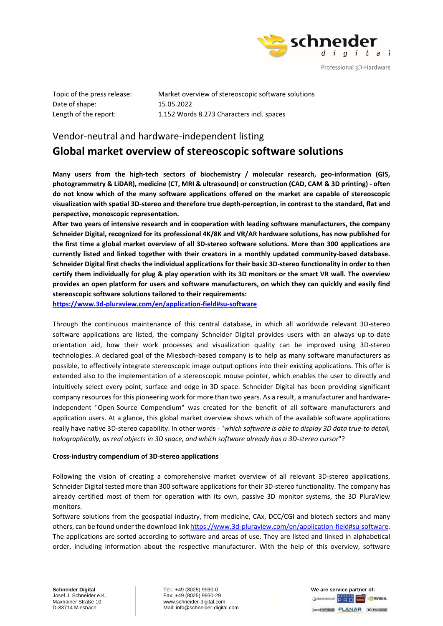

Date of shape: 15.05.2022

Topic of the press release: Market overview of stereoscopic software solutions Length of the report: 1.152 Words 8.273 Characters incl. spaces

## Vendor-neutral and hardware-independent listing

# **Global market overview of stereoscopic software solutions**

**Many users from the high-tech sectors of biochemistry / molecular research, geo-information (GIS, photogrammetry & LiDAR), medicine (CT, MRI & ultrasound) or construction (CAD, CAM & 3D printing) - often do not know which of the many software applications offered on the market are capable of stereoscopic visualization with spatial 3D-stereo and therefore true depth-perception, in contrast to the standard, flat and perspective, monoscopic representation.**

**After two years of intensive research and in cooperation with leading software manufacturers, the company Schneider Digital, recognized for its professional 4K/8K and VR/AR hardware solutions, has now published for the first time a global market overview of all 3D-stereo software solutions. More than 300 applications are currently listed and linked together with their creators in a monthly updated community-based database. Schneider Digital first checks the individual applications for their basic 3D-stereo functionality in order to then certify them individually for plug & play operation with its 3D monitors or the smart VR wall. The overview provides an open platform for users and software manufacturers, on which they can quickly and easily find stereoscopic software solutions tailored to their requirements:**

**[https://www.3d-pluraview.com/en/application-field#su-software](https://www.3d-pluraview.com/en/application-field%23su-software)**

Through the continuous maintenance of this central database, in which all worldwide relevant 3D-stereo software applications are listed, the company Schneider Digital provides users with an always up-to-date orientation aid, how their work processes and visualization quality can be improved using 3D-stereo technologies. A declared goal of the Miesbach-based company is to help as many software manufacturers as possible, to effectively integrate stereoscopic image output options into their existing applications. This offer is extended also to the implementation of a stereoscopic mouse pointer, which enables the user to directly and intuitively select every point, surface and edge in 3D space. Schneider Digital has been providing significant company resources for this pioneering work for more than two years. As a result, a manufacturer and hardwareindependent "Open-Source Compendium" was created for the benefit of all software manufacturers and application users. At a glance, this global market overview shows which of the available software applications really have native 3D-stereo capability. In other words - "*which software is able to display 3D data true-to detail, holographically, as real objects in 3D space, and which software already has a 3D-stereo cursor*"?

### **Cross-industry compendium of 3D-stereo applications**

Following the vision of creating a comprehensive market overview of all relevant 3D-stereo applications, Schneider Digital tested more than 300 software applications for their 3D-stereo functionality. The company has already certified most of them for operation with its own, passive 3D monitor systems, the 3D PluraView monitors.

Software solutions from the geospatial industry, from medicine, CAx, DCC/CGI and biotech sectors and many others, can be found under the download lin[k https://www.3d-pluraview.com/en/application-field#su-software.](https://www.3d-pluraview.com/en/application-field%23su-software) The applications are sorted according to software and areas of use. They are listed and linked in alphabetical order, including information about the respective manufacturer. With the help of this overview, software

**Schneider Digital Tel.: +49 (8025) 9930-0 We are service partner of:** Josef J. Schneider e.K. Fax: +49 (8025) 9930-29 MaxIrainer Straße 10 www.schneider-digital.com<br>D-83714 Miesbach Mail: info@schneider-digital Mail: info@schneider-digital.com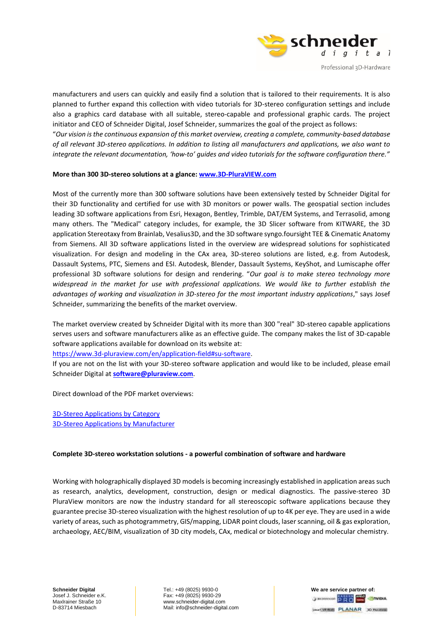

manufacturers and users can quickly and easily find a solution that is tailored to their requirements. It is also planned to further expand this collection with video tutorials for 3D-stereo configuration settings and include also a graphics card database with all suitable, stereo-capable and professional graphic cards. The project initiator and CEO of Schneider Digital, Josef Schneider, summarizes the goal of the project as follows:

"*Our vision is the continuous expansion of this market overview, creating a complete, community-based database of all relevant 3D-stereo applications. In addition to listing all manufacturers and applications, we also want to integrate the relevant documentation, 'how-to' guides and video tutorials for the software configuration there."*

### **More than 300 3D-stereo solutions at a glance[: www.3D-PluraVIEW.com](http://www.3d-pluraview.com/)**

Most of the currently more than 300 software solutions have been extensively tested by Schneider Digital for their 3D functionality and certified for use with 3D monitors or power walls. The geospatial section includes leading 3D software applications from Esri, Hexagon, Bentley, Trimble, DAT/EM Systems, and Terrasolid, among many others. The "Medical" category includes, for example, the 3D Slicer software from KITWARE, the 3D application Stereotaxy from Brainlab, Vesalius3D, and the 3D software syngo.foursight TEE & Cinematic Anatomy from Siemens. All 3D software applications listed in the overview are widespread solutions for sophisticated visualization. For design and modeling in the CAx area, 3D-stereo solutions are listed, e.g. from Autodesk, Dassault Systems, PTC, Siemens and ESI. Autodesk, Blender, Dassault Systems, KeyShot, and Lumiscaphe offer professional 3D software solutions for design and rendering. "*Our goal is to make stereo technology more widespread in the market for use with professional applications. We would like to further establish the advantages of working and visualization in 3D-stereo for the most important industry applications*," says Josef Schneider, summarizing the benefits of the market overview.

The market overview created by Schneider Digital with its more than 300 "real" 3D-stereo capable applications serves users and software manufacturers alike as an effective guide. The company makes the list of 3D-capable software applications available for download on its website at:

[https://www.3d-pluraview.com/en/application-field#su-software.](https://www.3d-pluraview.com/en/application-field#su-software)

If you are not on the list with your 3D-stereo software application and would like to be included, please email Schneider Digital at **[software@pluraview.com](mailto:software@pluraview.com)**.

Direct download of the PDF market overviews:

3D-Stereo [Applications by Category](https://www.3d-pluraview.com/wp-content/downloads/software-overview/3d_pluraview_supported_stereoscopic_applications.pdf) 3D-Stereo [Applications by Manufacturer](https://www.3d-pluraview.com/wp-content/downloads/software-overview/3d_pluraview_supported_stereoscopic_software-vendors.pdf)

### **Complete 3D-stereo workstation solutions - a powerful combination of software and hardware**

Working with holographically displayed 3D models is becoming increasingly established in application areas such as research, analytics, development, construction, design or medical diagnostics. The passive-stereo 3D PluraView monitors are now the industry standard for all stereoscopic software applications because they guarantee precise 3D-stereo visualization with the highest resolution of up to 4K per eye. They are used in a wide variety of areas, such as photogrammetry, GIS/mapping, LiDAR point clouds, laser scanning, oil & gas exploration, archaeology, AEC/BIM, visualization of 3D city models, CAx, medical or biotechnology and molecular chemistry.

**Schneider Digital Tel.: +49 (8025) 9930-0 We are service partner of:** Josef J. Schneider e.K. Fax: +49 (8025) 9930-29 MaxIrainer Straße 10 www.schneider-digital.com<br>D-83714 Miesbach Mail: info@schneider-digital Mail: info@schneider-digital.com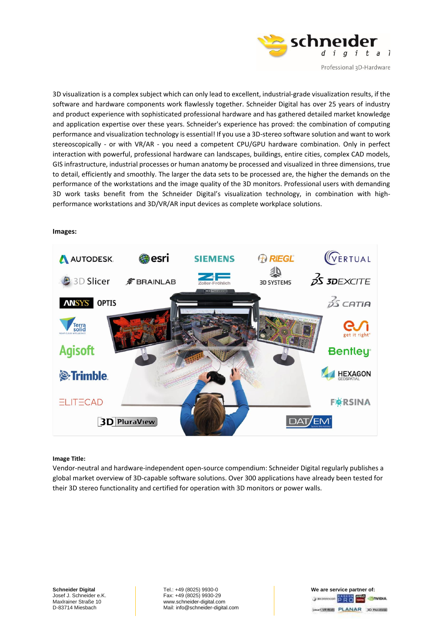

Professional 3D-Hardware

3D visualization is a complex subject which can only lead to excellent, industrial-grade visualization results, if the software and hardware components work flawlessly together. Schneider Digital has over 25 years of industry and product experience with sophisticated professional hardware and has gathered detailed market knowledge and application expertise over these years. Schneider's experience has proved: the combination of computing performance and visualization technology is essential! If you use a 3D-stereo software solution and want to work stereoscopically - or with VR/AR - you need a competent CPU/GPU hardware combination. Only in perfect interaction with powerful, professional hardware can landscapes, buildings, entire cities, complex CAD models, GIS infrastructure, industrial processes or human anatomy be processed and visualized in three dimensions, true to detail, efficiently and smoothly. The larger the data sets to be processed are, the higher the demands on the performance of the workstations and the image quality of the 3D monitors. Professional users with demanding 3D work tasks benefit from the Schneider Digital's visualization technology, in combination with highperformance workstations and 3D/VR/AR input devices as complete workplace solutions.

### **WERTUAL ARIEGL Besri** A AUTODESK **SIEMENS**  $35$  3DEXCITE **B** 3D Slicer  $\hat{z}$  BRAINLAB **3D SYSTEMS**  $\frac{2}{2}$  catio **ANSYS OPTIS** Terra **Agisoft Bentley** *<b>*:Trimble **HEXAGON ELITECAD F※RSINA** DAT/EM **3D PluraView**

### **Images:**

#### **Image Title:**

Vendor-neutral and hardware-independent open-source compendium: Schneider Digital regularly publishes a global market overview of 3D-capable software solutions. Over 300 applications have already been tested for their 3D stereo functionality and certified for operation with 3D monitors or power walls.